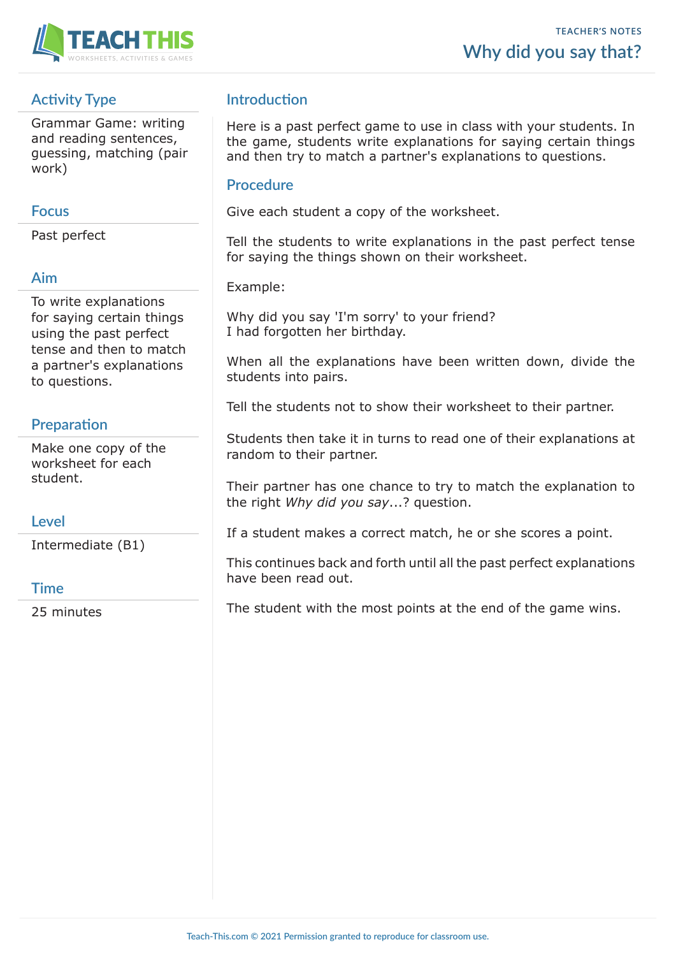

# **Activity Type**

Grammar Game: writing and reading sentences, guessing, matching (pair work)

#### **Focus**

Past perfect

# **Aim**

To write explanations for saying certain things using the past perfect tense and then to match a partner's explanations to questions.

# **Preparation**

Make one copy of the worksheet for each student.

### **Level**

Intermediate (B1)

### **Time**

25 minutes

# **Introduction**

Here is a past perfect game to use in class with your students. In the game, students write explanations for saying certain things and then try to match a partner's explanations to questions.

#### **Procedure**

Give each student a copy of the worksheet.

Tell the students to write explanations in the past perfect tense for saying the things shown on their worksheet.

Example:

Why did you say 'I'm sorry' to your friend? I had forgotten her birthday.

When all the explanations have been written down, divide the students into pairs.

Tell the students not to show their worksheet to their partner.

Students then take it in turns to read one of their explanations at random to their partner.

Their partner has one chance to try to match the explanation to the right *Why did you say*...? question.

If a student makes a correct match, he or she scores a point.

This continues back and forth until all the past perfect explanations have been read out.

The student with the most points at the end of the game wins.